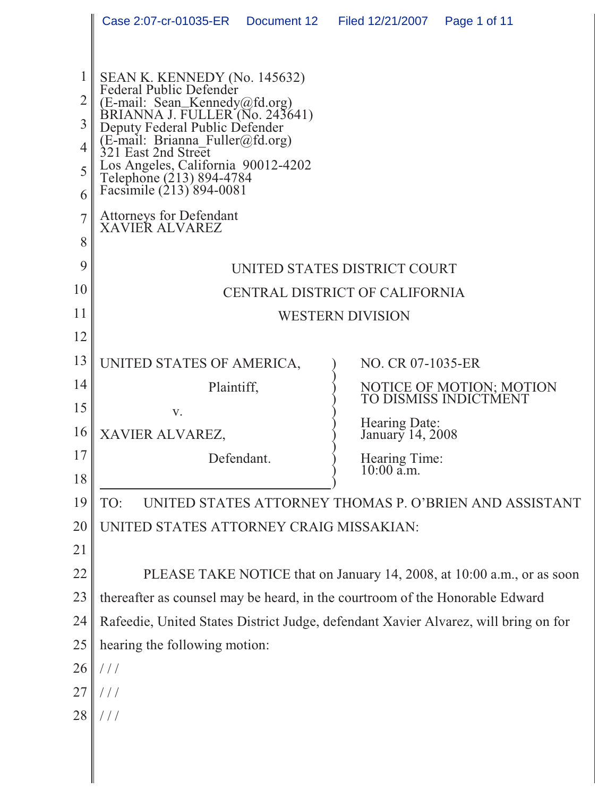|                | Case 2:07-cr-01035-ER  Document 12  Filed 12/21/2007                                                                                                 |  |                             | Page 1 of 11                                      |  |
|----------------|------------------------------------------------------------------------------------------------------------------------------------------------------|--|-----------------------------|---------------------------------------------------|--|
|                |                                                                                                                                                      |  |                             |                                                   |  |
|                | SEAN K. KENNEDY (No. 145632)<br>Federal Public Defender                                                                                              |  |                             |                                                   |  |
| $\overline{2}$ | (E-mail: Sean_Kennedy@fd.org)<br>BRIANNA J. FULLER (No. 243641)<br>Deputy Federal Public Defender                                                    |  |                             |                                                   |  |
| 3              | (E-mail: Brianna_Fuller@fd.org)<br>321 East 2nd Street<br>Los Angeles, California 90012-4202<br>Telephone (213) 894-4784<br>Facsimile (213) 894-0081 |  |                             |                                                   |  |
| 4              |                                                                                                                                                      |  |                             |                                                   |  |
| 5<br>6         |                                                                                                                                                      |  |                             |                                                   |  |
| $\overline{7}$ | Attorneys for Defendant<br><b>XAVIER ALVAREZ</b>                                                                                                     |  |                             |                                                   |  |
| 8              |                                                                                                                                                      |  |                             |                                                   |  |
| 9              | UNITED STATES DISTRICT COURT                                                                                                                         |  |                             |                                                   |  |
| 10             | CENTRAL DISTRICT OF CALIFORNIA                                                                                                                       |  |                             |                                                   |  |
| 11             | <b>WESTERN DIVISION</b>                                                                                                                              |  |                             |                                                   |  |
| 12             |                                                                                                                                                      |  |                             |                                                   |  |
| 13             | UNITED STATES OF AMERICA,                                                                                                                            |  | NO. CR 07-1035-ER           |                                                   |  |
| 14             | Plaintiff,                                                                                                                                           |  |                             | NOTICE OF MOTION; MOTION<br>TO DISMISS INDICTMENT |  |
| 15             | V.                                                                                                                                                   |  | Hearing Date:               |                                                   |  |
| 16             | XAVIER ALVAREZ,                                                                                                                                      |  | January 14, 2008            |                                                   |  |
| 17             | Defendant.                                                                                                                                           |  | Hearing Time:<br>10:00 a.m. |                                                   |  |
| 18             |                                                                                                                                                      |  |                             |                                                   |  |
| 19             | UNITED STATES ATTORNEY THOMAS P. O'BRIEN AND ASSISTANT<br>TO:                                                                                        |  |                             |                                                   |  |
| 20             | UNITED STATES ATTORNEY CRAIG MISSAKIAN:                                                                                                              |  |                             |                                                   |  |
| 21             |                                                                                                                                                      |  |                             |                                                   |  |
| 22             | PLEASE TAKE NOTICE that on January 14, 2008, at 10:00 a.m., or as soon                                                                               |  |                             |                                                   |  |
| 23             | thereafter as counsel may be heard, in the courtroom of the Honorable Edward                                                                         |  |                             |                                                   |  |
| 24             | Rafeedie, United States District Judge, defendant Xavier Alvarez, will bring on for                                                                  |  |                             |                                                   |  |
| 25             | hearing the following motion:                                                                                                                        |  |                             |                                                   |  |
| 26             | //                                                                                                                                                   |  |                             |                                                   |  |
| 27             | //                                                                                                                                                   |  |                             |                                                   |  |
| 28             | $\frac{1}{2}$                                                                                                                                        |  |                             |                                                   |  |
|                |                                                                                                                                                      |  |                             |                                                   |  |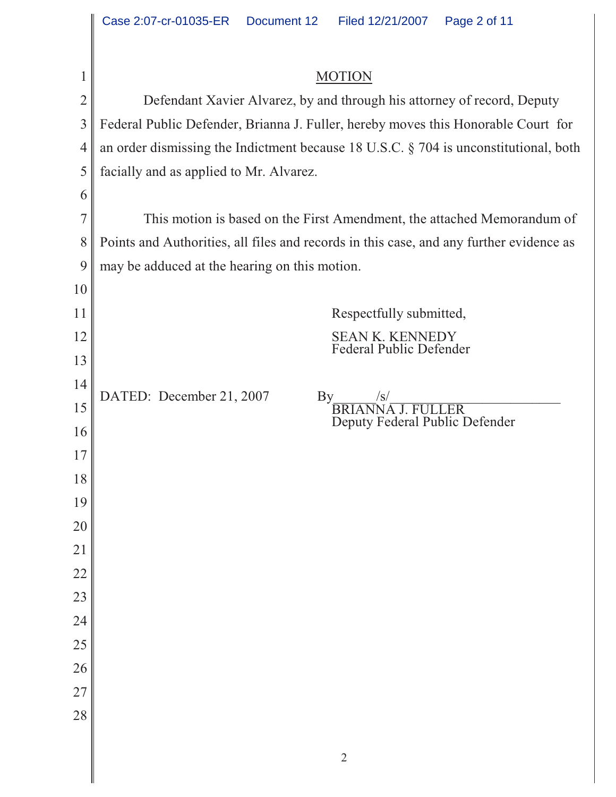# **MOTION**

| $2 \parallel$<br>Defendant Xavier Alvarez, by and through his attorney of record, Deputy     |
|----------------------------------------------------------------------------------------------|
| 3   Federal Public Defender, Brianna J. Fuller, hereby moves this Honorable Court for        |
| 4    an order dismissing the Indictment because 18 U.S.C. $\S$ 704 is unconstitutional, both |
| $5 \parallel$ facially and as applied to Mr. Alvarez.                                        |

 This motion is based on the First Amendment, the attached Memorandum of Points and Authorities, all files and records in this case, and any further evidence as may be adduced at the hearing on this motion.

| 11     |                          | Respectfully submitted,                                                        |
|--------|--------------------------|--------------------------------------------------------------------------------|
|        |                          |                                                                                |
| 12     |                          | SEAN K. KENNEDY<br>Federal Public Defender                                     |
| 13     |                          |                                                                                |
| 14     | DATED: December 21, 2007 | By<br>$\sqrt{s}$<br><b>BRIANNA J. FULLER</b><br>Deputy Federal Public Defender |
| 15     |                          |                                                                                |
| 16     |                          |                                                                                |
| 17     |                          |                                                                                |
| 18     |                          |                                                                                |
| 19     |                          |                                                                                |
| 20     |                          |                                                                                |
| 21     |                          |                                                                                |
| 22     |                          |                                                                                |
| 23     |                          |                                                                                |
| 24     |                          |                                                                                |
| 25     |                          |                                                                                |
| 26     |                          |                                                                                |
| 27     |                          |                                                                                |
| $28\,$ |                          |                                                                                |
|        |                          |                                                                                |
|        |                          | $\mathbf{2}$                                                                   |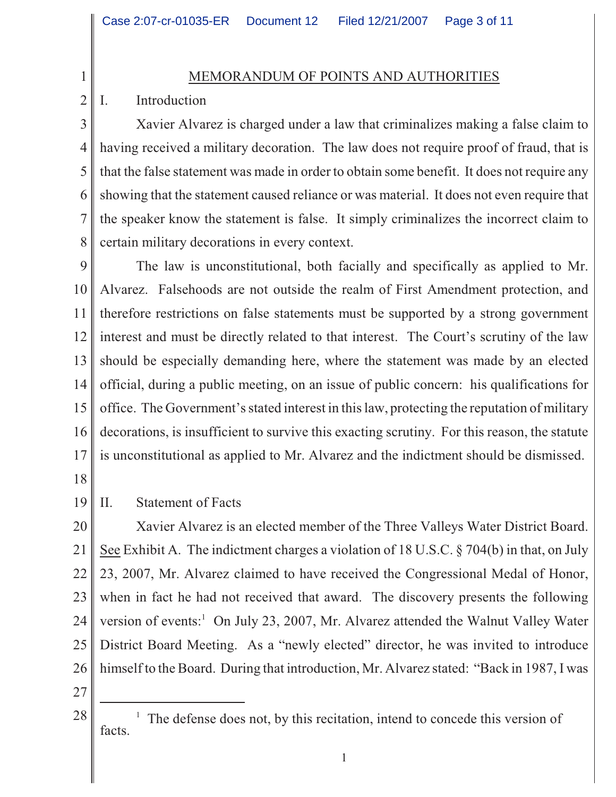# MEMORANDUM OF POINTS AND AUTHORITIES

#### 2 I. Introduction

1

3 4 5 6 7 8 Xavier Alvarez is charged under a law that criminalizes making a false claim to having received a military decoration. The law does not require proof of fraud, that is that the false statement was made in order to obtain some benefit. It does not require any showing that the statement caused reliance or was material. It does not even require that the speaker know the statement is false. It simply criminalizes the incorrect claim to certain military decorations in every context.

9 10 11 12 13 14 15 16 17 The law is unconstitutional, both facially and specifically as applied to Mr. Alvarez. Falsehoods are not outside the realm of First Amendment protection, and therefore restrictions on false statements must be supported by a strong government interest and must be directly related to that interest. The Court's scrutiny of the law should be especially demanding here, where the statement was made by an elected official, during a public meeting, on an issue of public concern: his qualifications for office. The Government's stated interest in thislaw, protecting the reputation of military decorations, is insufficient to survive this exacting scrutiny. For this reason, the statute is unconstitutional as applied to Mr. Alvarez and the indictment should be dismissed.

18

19 II. Statement of Facts

20 21 22 23 24 25 26 Xavier Alvarez is an elected member of the Three Valleys Water District Board. See Exhibit A. The indictment charges a violation of 18 U.S.C. § 704(b) in that, on July 23, 2007, Mr. Alvarez claimed to have received the Congressional Medal of Honor, when in fact he had not received that award. The discovery presents the following version of events:<sup>1</sup> On July 23, 2007, Mr. Alvarez attended the Walnut Valley Water District Board Meeting. As a "newly elected" director, he was invited to introduce himself to the Board. During that introduction, Mr. Alvarez stated: "Back in 1987, I was

27

 $28 \parallel$  <sup>1</sup> The defense does not, by this recitation, intend to concede this version of facts.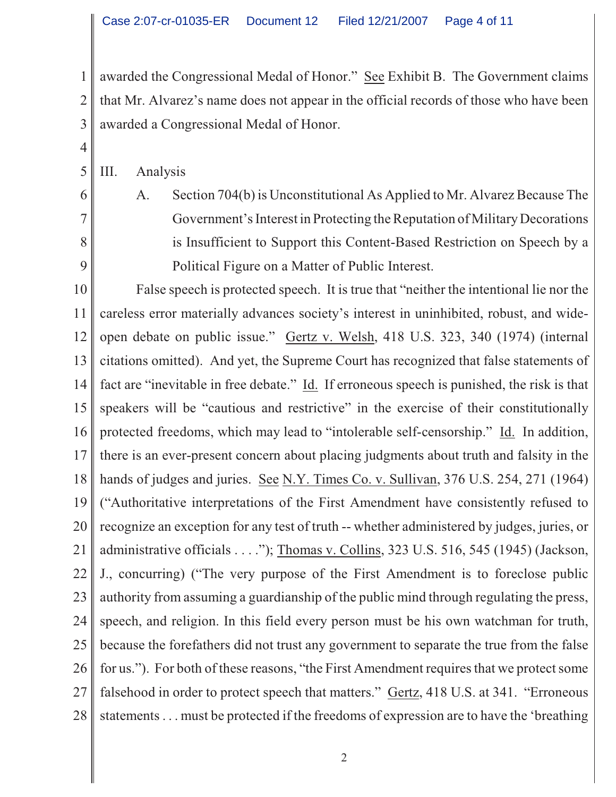1 2 3 awarded the Congressional Medal of Honor." See Exhibit B. The Government claims that Mr. Alvarez's name does not appear in the official records of those who have been awarded a Congressional Medal of Honor.

5 III. Analysis

4

6

7

8

9

A. Section 704(b) is Unconstitutional As Applied to Mr. Alvarez Because The Government's Interest in Protecting the Reputation of Military Decorations is Insufficient to Support this Content-Based Restriction on Speech by a Political Figure on a Matter of Public Interest.

10 11 12 13 14 15 16 17 18 19 20 21 22 23 24 25 26 27 28 False speech is protected speech. It is true that "neither the intentional lie nor the careless error materially advances society's interest in uninhibited, robust, and wideopen debate on public issue." Gertz v. Welsh, 418 U.S. 323, 340 (1974) (internal citations omitted). And yet, the Supreme Court has recognized that false statements of fact are "inevitable in free debate." Id. If erroneous speech is punished, the risk is that speakers will be "cautious and restrictive" in the exercise of their constitutionally protected freedoms, which may lead to "intolerable self-censorship." Id.In addition, there is an ever-present concern about placing judgments about truth and falsity in the hands of judges and juries. See N.Y. Times Co. v. Sullivan, 376 U.S. 254, 271 (1964) ("Authoritative interpretations of the First Amendment have consistently refused to recognize an exception for any test of truth -- whether administered by judges, juries, or administrative officials . . . ."); Thomas v. Collins, 323 U.S. 516, 545 (1945) (Jackson, J., concurring) ("The very purpose of the First Amendment is to foreclose public authority from assuming a guardianship of the public mind through regulating the press, speech, and religion. In this field every person must be his own watchman for truth, because the forefathers did not trust any government to separate the true from the false for us."). For both of these reasons, "the First Amendment requires that we protect some falsehood in order to protect speech that matters." Gertz, 418 U.S. at 341. "Erroneous statements . . . must be protected if the freedoms of expression are to have the 'breathing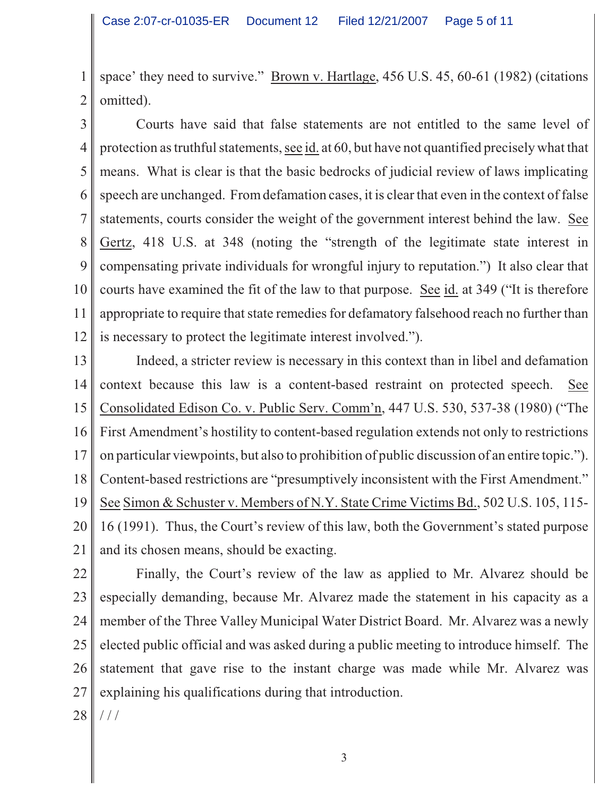1 2 space' they need to survive." Brown v. Hartlage, 456 U.S. 45, 60-61 (1982) (citations omitted).

3 4 5 6 7 8 9 10 11 12 Courts have said that false statements are not entitled to the same level of protection as truthful statements, see id. at 60, but have not quantified precisely what that means. What is clear is that the basic bedrocks of judicial review of laws implicating speech are unchanged. From defamation cases, it is clear that even in the context of false statements, courts consider the weight of the government interest behind the law. See Gertz, 418 U.S. at 348 (noting the "strength of the legitimate state interest in compensating private individuals for wrongful injury to reputation.") It also clear that courts have examined the fit of the law to that purpose. See id. at 349 ("It is therefore appropriate to require that state remedies for defamatory falsehood reach no further than is necessary to protect the legitimate interest involved.").

13 14 15 16 17 18 19 20 21 Indeed, a stricter review is necessary in this context than in libel and defamation context because this law is a content-based restraint on protected speech. See Consolidated Edison Co. v. Public Serv. Comm'n, 447 U.S. 530, 537-38 (1980) ("The First Amendment's hostility to content-based regulation extends not only to restrictions on particular viewpoints, but also to prohibition of public discussion of an entire topic."). Content-based restrictions are "presumptively inconsistent with the First Amendment." See Simon & Schuster v. Members of N.Y. State Crime Victims Bd., 502 U.S. 105, 115- 16 (1991). Thus, the Court's review of this law, both the Government's stated purpose and its chosen means, should be exacting.

- 22 23 24 25 26 27 Finally, the Court's review of the law as applied to Mr. Alvarez should be especially demanding, because Mr. Alvarez made the statement in his capacity as a member of the Three Valley Municipal Water District Board. Mr. Alvarez was a newly elected public official and was asked during a public meeting to introduce himself. The statement that gave rise to the instant charge was made while Mr. Alvarez was explaining his qualifications during that introduction.
- 28 / / /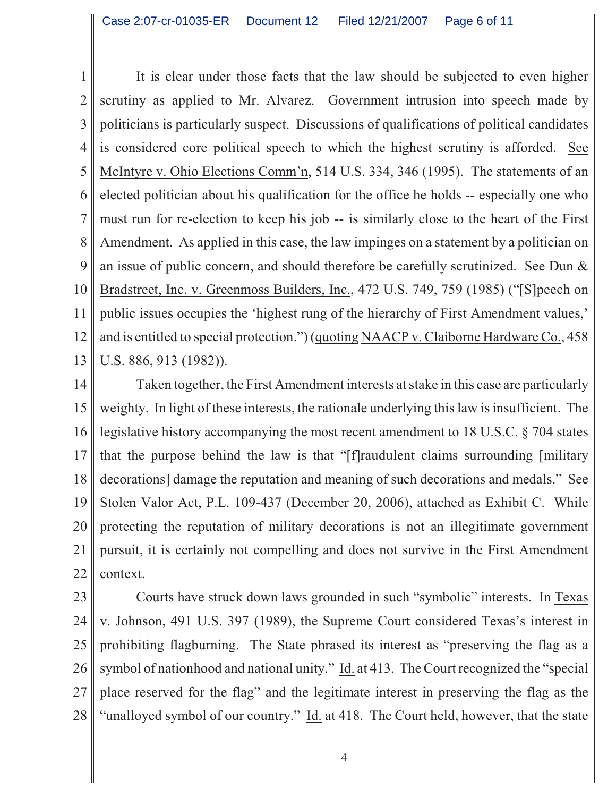1 2 3 4 5 6 7 8 9 10 11 12 13 It is clear under those facts that the law should be subjected to even higher scrutiny as applied to Mr. Alvarez. Government intrusion into speech made by politicians is particularly suspect. Discussions of qualifications of political candidates is considered core political speech to which the highest scrutiny is afforded. See McIntyre v. Ohio Elections Comm'n, 514 U.S. 334, 346 (1995). The statements of an elected politician about his qualification for the office he holds -- especially one who must run for re-election to keep his job -- is similarly close to the heart of the First Amendment. As applied in this case, the law impinges on a statement by a politician on an issue of public concern, and should therefore be carefully scrutinized. See Dun & Bradstreet, Inc. v. Greenmoss Builders, Inc., 472 U.S. 749, 759 (1985) ("[S]peech on public issues occupies the 'highest rung of the hierarchy of First Amendment values,' and is entitled to special protection.") (quoting NAACP v. Claiborne Hardware Co., 458 U.S. 886, 913 (1982)).

14 15 16 17 18 19 20 21 22 Taken together, the First Amendment interests atstake in this case are particularly weighty. In light of these interests, the rationale underlying this law is insufficient. The legislative history accompanying the most recent amendment to 18 U.S.C. § 704 states that the purpose behind the law is that "[f]raudulent claims surrounding [military decorations] damage the reputation and meaning of such decorations and medals." See Stolen Valor Act, P.L. 109-437 (December 20, 2006), attached as Exhibit C. While protecting the reputation of military decorations is not an illegitimate government pursuit, it is certainly not compelling and does not survive in the First Amendment context.

23 24 25 26 27 28 Courts have struck down laws grounded in such "symbolic" interests. In Texas v. Johnson, 491 U.S. 397 (1989), the Supreme Court considered Texas's interest in prohibiting flagburning. The State phrased its interest as "preserving the flag as a symbol of nationhood and national unity." Id. at 413. The Court recognized the "special place reserved for the flag" and the legitimate interest in preserving the flag as the "unalloyed symbol of our country." Id. at 418. The Court held, however, that the state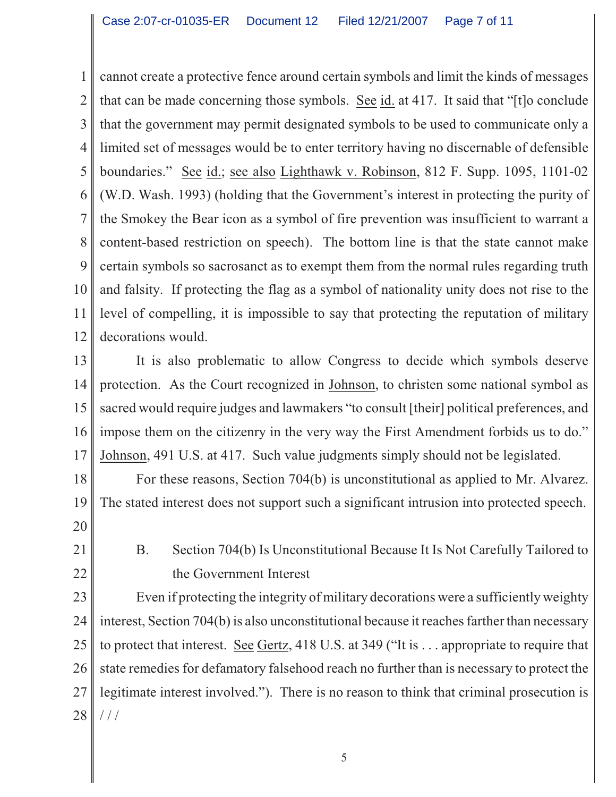1 2 3 4 5 6 7 8 9 10 11 12 cannot create a protective fence around certain symbols and limit the kinds of messages that can be made concerning those symbols. See id. at 417. It said that "[t]o conclude that the government may permit designated symbols to be used to communicate only a limited set of messages would be to enter territory having no discernable of defensible boundaries." See id.; see also Lighthawk v. Robinson, 812 F. Supp. 1095, 1101-02 (W.D. Wash. 1993) (holding that the Government's interest in protecting the purity of the Smokey the Bear icon as a symbol of fire prevention was insufficient to warrant a content-based restriction on speech). The bottom line is that the state cannot make certain symbols so sacrosanct as to exempt them from the normal rules regarding truth and falsity. If protecting the flag as a symbol of nationality unity does not rise to the level of compelling, it is impossible to say that protecting the reputation of military decorations would.

13 14 15 16 17 It is also problematic to allow Congress to decide which symbols deserve protection. As the Court recognized in Johnson, to christen some national symbol as sacred would require judges and lawmakers "to consult [their] political preferences, and impose them on the citizenry in the very way the First Amendment forbids us to do." Johnson, 491 U.S. at 417. Such value judgments simply should not be legislated.

18 19 20 For these reasons, Section 704(b) is unconstitutional as applied to Mr. Alvarez. The stated interest does not support such a significant intrusion into protected speech.

- 21
- 22

B. Section 704(b) Is Unconstitutional Because It Is Not Carefully Tailored to the Government Interest

23 24 25 26 27 28 Even if protecting the integrity of military decorations were a sufficiently weighty interest, Section 704(b) is also unconstitutional because it reaches farther than necessary to protect that interest. See Gertz, 418 U.S. at 349 ("It is . . . appropriate to require that state remedies for defamatory falsehood reach no further than is necessary to protect the legitimate interest involved."). There is no reason to think that criminal prosecution is / / /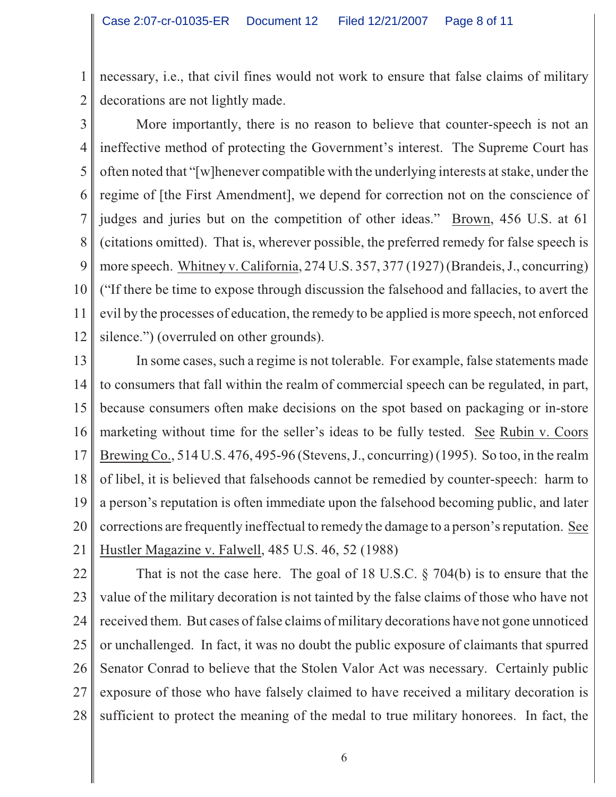1 2 necessary, i.e., that civil fines would not work to ensure that false claims of military decorations are not lightly made.

3 4 5 6 7 8 9 10 11 12 More importantly, there is no reason to believe that counter-speech is not an ineffective method of protecting the Government's interest. The Supreme Court has often noted that "[w]henever compatible with the underlying interests at stake, under the regime of [the First Amendment], we depend for correction not on the conscience of judges and juries but on the competition of other ideas." Brown, 456 U.S. at 61 (citations omitted). That is, wherever possible, the preferred remedy for false speech is more speech. Whitney v.California, 274 U.S. 357, 377 (1927) (Brandeis, J., concurring) ("If there be time to expose through discussion the falsehood and fallacies, to avert the evil by the processes of education, the remedy to be applied is more speech, not enforced silence.") (overruled on other grounds).

13 14 15 16 17 18 19 20 21 In some cases, such a regime is not tolerable. For example, false statements made to consumers that fall within the realm of commercial speech can be regulated, in part, because consumers often make decisions on the spot based on packaging or in-store marketing without time for the seller's ideas to be fully tested. See Rubin v. Coors Brewing Co., 514 U.S. 476, 495-96 (Stevens,J., concurring)(1995). So too, in the realm of libel, it is believed that falsehoods cannot be remedied by counter-speech: harm to a person's reputation is often immediate upon the falsehood becoming public, and later corrections are frequently ineffectual to remedy the damage to a person's reputation. See Hustler Magazine v. Falwell, 485 U.S. 46, 52 (1988)

22 23 24 25 26 27 28 That is not the case here. The goal of 18 U.S.C. § 704(b) is to ensure that the value of the military decoration is not tainted by the false claims of those who have not received them. But cases of false claims of military decorations have not gone unnoticed or unchallenged. In fact, it was no doubt the public exposure of claimants that spurred Senator Conrad to believe that the Stolen Valor Act was necessary. Certainly public exposure of those who have falsely claimed to have received a military decoration is sufficient to protect the meaning of the medal to true military honorees. In fact, the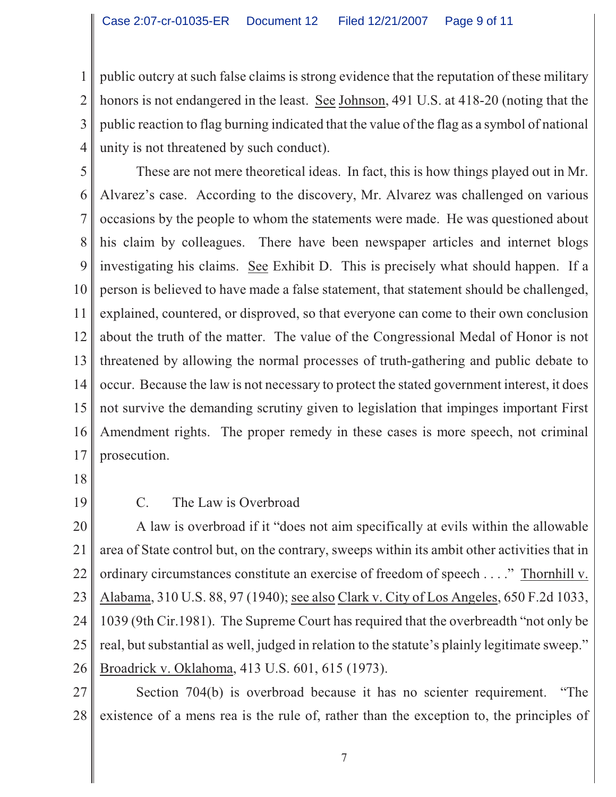1 2 3 4 public outcry at such false claims is strong evidence that the reputation of these military honors is not endangered in the least. See Johnson, 491 U.S. at 418-20 (noting that the public reaction to flag burning indicated that the value of the flag as a symbol of national unity is not threatened by such conduct).

5 6 7 8 9 10 11 12 13 14 15 16 17 These are not mere theoretical ideas. In fact, this is how things played out in Mr. Alvarez's case. According to the discovery, Mr. Alvarez was challenged on various occasions by the people to whom the statements were made. He was questioned about his claim by colleagues. There have been newspaper articles and internet blogs investigating his claims. See Exhibit D. This is precisely what should happen. If a person is believed to have made a false statement, that statement should be challenged, explained, countered, or disproved, so that everyone can come to their own conclusion about the truth of the matter. The value of the Congressional Medal of Honor is not threatened by allowing the normal processes of truth-gathering and public debate to occur. Because the law is not necessary to protect the stated government interest, it does not survive the demanding scrutiny given to legislation that impinges important First Amendment rights. The proper remedy in these cases is more speech, not criminal prosecution.

- 18
- 19

## C. The Law is Overbroad

20 21 22 23 24 25 26 A law is overbroad if it "does not aim specifically at evils within the allowable area of State control but, on the contrary, sweeps within its ambit other activities that in ordinary circumstances constitute an exercise of freedom of speech . . . ." Thornhill v. Alabama, 310 U.S. 88, 97 (1940); see also Clark v. City of Los Angeles, 650 F.2d 1033, 1039 (9th Cir.1981). The Supreme Court has required that the overbreadth "not only be real, but substantial as well, judged in relation to the statute's plainly legitimate sweep." Broadrick v. Oklahoma, 413 U.S. 601, 615 (1973).

27 28 Section 704(b) is overbroad because it has no scienter requirement. "The existence of a mens rea is the rule of, rather than the exception to, the principles of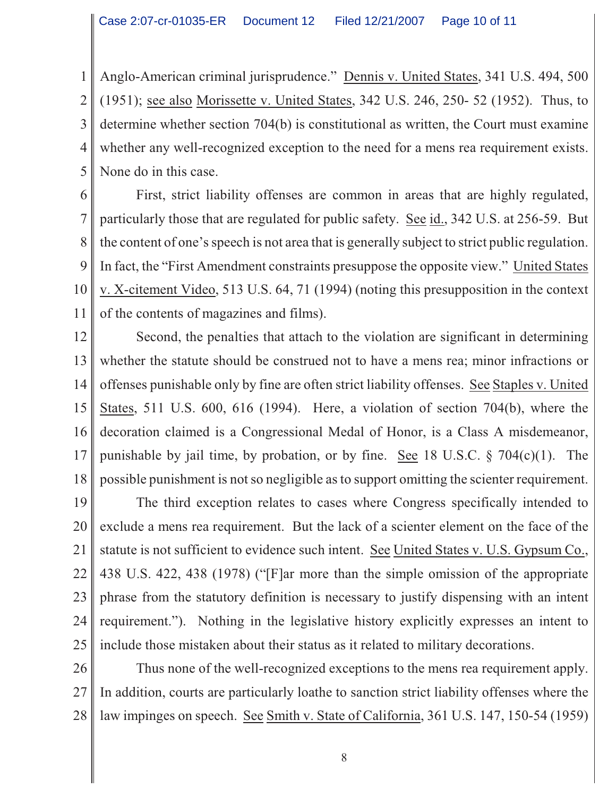1 2 3 4 5 Anglo-American criminal jurisprudence." Dennis v. United States, 341 U.S. 494, 500 (1951); see also Morissette v. United States, 342 U.S. 246, 250- 52 (1952). Thus, to determine whether section 704(b) is constitutional as written, the Court must examine whether any well-recognized exception to the need for a mens rea requirement exists. None do in this case.

6 7 8 9 10 11 First, strict liability offenses are common in areas that are highly regulated, particularly those that are regulated for public safety. See id., 342 U.S. at 256-59. But the content of one's speech is not area that is generally subject to strict public regulation. In fact, the "First Amendment constraints presuppose the opposite view." United States v. X-citement Video, 513 U.S. 64, 71 (1994) (noting this presupposition in the context of the contents of magazines and films).

12 13 14 15 16 17 18 Second, the penalties that attach to the violation are significant in determining whether the statute should be construed not to have a mens rea; minor infractions or offenses punishable only by fine are often strict liability offenses. See Staples v. United States, 511 U.S. 600, 616 (1994). Here, a violation of section 704(b), where the decoration claimed is a Congressional Medal of Honor, is a Class A misdemeanor, punishable by jail time, by probation, or by fine. See 18 U.S.C.  $\S$  704(c)(1). The possible punishment is not so negligible asto support omitting the scienter requirement.

19 20 21 22 23 24 25 The third exception relates to cases where Congress specifically intended to exclude a mens rea requirement. But the lack of a scienter element on the face of the statute is not sufficient to evidence such intent. See United States v. U.S. Gypsum Co., 438 U.S. 422, 438 (1978) ("[F]ar more than the simple omission of the appropriate phrase from the statutory definition is necessary to justify dispensing with an intent requirement."). Nothing in the legislative history explicitly expresses an intent to include those mistaken about their status as it related to military decorations.

26 27 28 Thus none of the well-recognized exceptions to the mens rea requirement apply. In addition, courts are particularly loathe to sanction strict liability offenses where the law impinges on speech. See Smith v. State of California, 361 U.S. 147, 150-54 (1959)